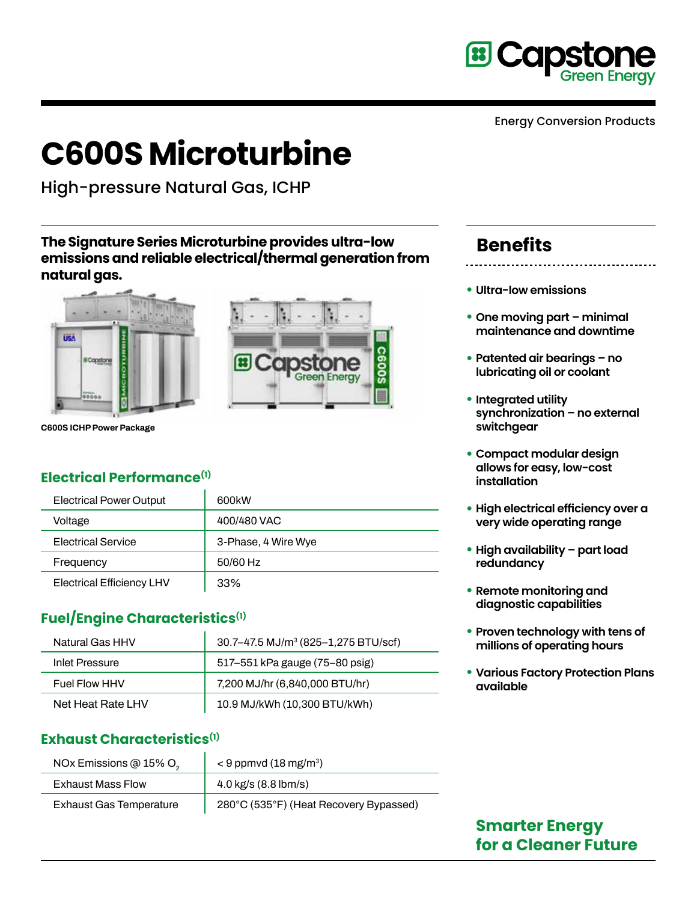

Energy Conversion Products

# **C600S Microturbine**

High-pressure Natural Gas, ICHP

**The Signature Series Microturbine provides ultra-low emissions and reliable electrical/thermal generation from natural gas.**





**C600S ICHP Power Package**

#### **Electrical Performance(1)**

| <b>Electrical Power Output</b>   | 600 <sub>k</sub> W  |
|----------------------------------|---------------------|
| Voltage                          | 400/480 VAC         |
| <b>Electrical Service</b>        | 3-Phase, 4 Wire Wye |
| Frequency                        | 50/60 Hz            |
| <b>Electrical Efficiency LHV</b> | 33%                 |

### **Fuel/Engine Characteristics(1)**

| Natural Gas HHV   | 30.7–47.5 MJ/m <sup>3</sup> (825–1,275 BTU/scf) |
|-------------------|-------------------------------------------------|
| Inlet Pressure    | 517–551 kPa gauge (75–80 psig)                  |
| Fuel Flow HHV     | 7,200 MJ/hr (6,840,000 BTU/hr)                  |
| Net Heat Rate LHV | 10.9 MJ/kWh (10,300 BTU/kWh)                    |

#### **Exhaust Characteristics(1)**

| NOx Emissions @ 15% O <sub>2</sub> | $<$ 9 ppmvd (18 mg/m <sup>3</sup> )    |
|------------------------------------|----------------------------------------|
| <b>Exhaust Mass Flow</b>           | 4.0 $kg/s$ (8.8 lbm/s)                 |
| <b>Exhaust Gas Temperature</b>     | 280°C (535°F) (Heat Recovery Bypassed) |

## **Benefits**

- **Ultra-low emissions**
- **• One moving part minimal maintenance and downtime**
- **• Patented air bearings no lubricating oil or coolant**
- **• Integrated utility synchronization – no external switchgear**
- **• Compact modular design allows for easy, low-cost installation**
- **• High electrical efficiency over a very wide operating range**
- **• High availability part load redundancy**
- **• Remote monitoring and diagnostic capabilities**
- **• Proven technology with tens of millions of operating hours**
- **• Various Factory Protection Plans available**

### **Smarter Energy for a Cleaner Future**